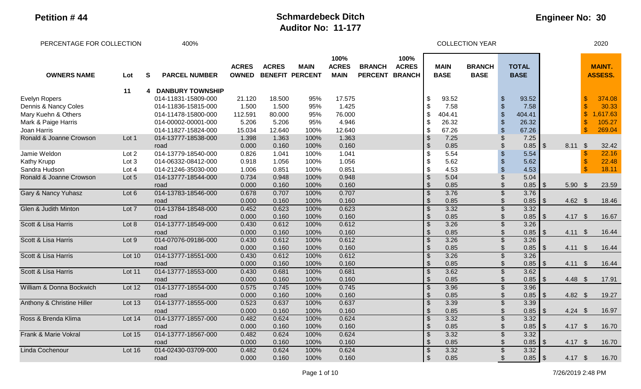| PERCENTAGE FOR COLLECTION             |               |   | 400%                    |                              |                                        |             |                                     |                                 |                                       |                           |                            | <b>COLLECTION YEAR</b>       |                           |                             |            |                   |               | 2020                            |
|---------------------------------------|---------------|---|-------------------------|------------------------------|----------------------------------------|-------------|-------------------------------------|---------------------------------|---------------------------------------|---------------------------|----------------------------|------------------------------|---------------------------|-----------------------------|------------|-------------------|---------------|---------------------------------|
| <b>OWNERS NAME</b>                    | Lot           | S | <b>PARCEL NUMBER</b>    | <b>ACRES</b><br><b>OWNED</b> | <b>ACRES</b><br><b>BENEFIT PERCENT</b> | <b>MAIN</b> | 100%<br><b>ACRES</b><br><b>MAIN</b> | <b>BRANCH</b><br><b>PERCENT</b> | 100%<br><b>ACRES</b><br><b>BRANCH</b> |                           | <b>MAIN</b><br><b>BASE</b> | <b>BRANCH</b><br><b>BASE</b> |                           | <b>TOTAL</b><br><b>BASE</b> |            |                   |               | <b>MAINT.</b><br><b>ASSESS.</b> |
|                                       | 11            | 4 | <b>DANBURY TOWNSHIP</b> |                              |                                        |             |                                     |                                 |                                       |                           |                            |                              |                           |                             |            |                   |               |                                 |
| <b>Evelyn Ropers</b>                  |               |   | 014-11831-15809-000     | 21.120                       | 18.500                                 | 95%         | 17.575                              |                                 |                                       |                           | 93.52                      |                              | \$                        | 93.52                       |            |                   |               | 374.08                          |
| Dennis & Nancy Coles                  |               |   | 014-11836-15815-000     | 1.500                        | 1.500                                  | 95%         | 1.425                               |                                 |                                       |                           | 7.58                       |                              | $\boldsymbol{\mathsf{S}}$ | 7.58                        |            |                   |               | 30.33                           |
| Mary Kuehn & Others                   |               |   | 014-11478-15800-000     | 112.591                      | 80.000                                 | 95%         | 76.000                              |                                 |                                       |                           | 404.41                     |                              | $\sqrt{2}$                | 404.41                      |            |                   |               | ,617.63                         |
| Mark & Paige Harris                   |               |   | 014-00002-00001-000     | 5.206                        | 5.206                                  | 95%         | 4.946                               |                                 |                                       |                           | 26.32                      |                              |                           | 26.32                       |            |                   |               | 105.27                          |
| Joan Harris                           |               |   | 014-11827-15824-000     | 15.034                       | 12.640                                 | 100%        | 12.640                              |                                 |                                       | \$                        | 67.26                      |                              | $\sqrt[6]{\frac{1}{2}}$   | 67.26                       |            |                   | \$            | 269.04                          |
| Ronald & Joanne Crowson               | Lot 1         |   | 014-13777-18538-000     | 1.398                        | 1.363                                  | 100%        | 1.363                               |                                 |                                       | $\boldsymbol{\theta}$     | 7.25                       |                              | $\boldsymbol{\mathsf{S}}$ | 7.25                        |            |                   |               |                                 |
|                                       |               |   | road                    | 0.000                        | 0.160                                  | 100%        | 0.160                               |                                 |                                       | $\boldsymbol{\mathsf{S}}$ | 0.85                       |                              | $\mathfrak{S}$            | 0.85                        | $\sqrt{3}$ | 8.11              | $\sqrt{3}$    | 32.42                           |
| Jamie Weldon                          | Lot 2         |   | 014-13779-18540-000     | 0.826                        | 1.041                                  | 100%        | 1.041                               |                                 |                                       |                           | 5.54                       |                              |                           | 5.54                        |            |                   |               | 22.16                           |
| <b>Kathy Krupp</b>                    | Lot 3         |   | 014-06332-08412-000     | 0.918                        | 1.056                                  | 100%        | 1.056                               |                                 |                                       |                           | 5.62                       |                              |                           | 5.62                        |            |                   |               | 22.48                           |
| Sandra Hudson                         | Lot 4         |   | 014-21246-35030-000     | 1.006                        | 0.851                                  | 100%        | 0.851                               |                                 |                                       | \$                        | 4.53                       |                              | $\sqrt{2}$                | 4.53                        |            |                   | $\mathsf{\$}$ | 18.11                           |
| Ronald & Joanne Crowson               | Lot 5         |   | 014-13777-18544-000     | 0.734                        | 0.948                                  | 100%        | 0.948                               |                                 |                                       | $\frac{1}{2}$             | 5.04                       |                              | $\boldsymbol{\mathsf{S}}$ | 5.04                        |            |                   |               |                                 |
|                                       |               |   | road                    | 0.000                        | 0.160                                  | 100%        | 0.160                               |                                 |                                       | \$                        | 0.85                       |                              | \$                        | $0.85$ \$                   |            | $5.90$ \$         |               | 23.59                           |
| <b>Gary &amp; Nancy Yuhasz</b>        | Lot 6         |   | 014-13783-18546-000     | 0.678                        | 0.707                                  | 100%        | 0.707                               |                                 |                                       |                           | 3.76                       |                              | $\mathfrak{L}$            | 3.76                        |            |                   |               |                                 |
|                                       |               |   | road                    | 0.000                        | 0.160                                  | 100%        | 0.160                               |                                 |                                       | $\mathbb{S}$              | 0.85                       |                              | $\frac{1}{2}$             | $0.85$ \$                   |            | 4.62 $$$          |               | 18.46                           |
| <b>Glen &amp; Judith Minton</b>       | Lot 7         |   | 014-13784-18548-000     | 0.452                        | 0.623                                  | 100%        | 0.623                               |                                 |                                       |                           | 3.32                       |                              | $\overline{\$}$           | 3.32                        |            |                   |               |                                 |
|                                       |               |   | road                    | 0.000                        | 0.160                                  | 100%        | 0.160                               |                                 |                                       | $\mathfrak{L}$            | 0.85                       |                              | $\frac{1}{2}$             | $0.85$ \$                   |            | 4.17 \$           |               | 16.67                           |
| Scott & Lisa Harris                   | Lot 8         |   | 014-13777-18549-000     | 0.430                        | 0.612                                  | 100%        | 0.612                               |                                 |                                       |                           | 3.26                       |                              | $\overline{\mathcal{S}}$  | 3.26                        |            |                   |               |                                 |
|                                       |               |   | road                    | 0.000                        | 0.160                                  | 100%        | 0.160                               |                                 |                                       |                           | 0.85                       |                              | \$                        | 0.85                        | IS.        | $4.11 \text{ } $$ |               | 16.44                           |
| Scott & Lisa Harris                   | Lot 9         |   | 014-07076-09186-000     | 0.430                        | 0.612                                  | 100%        | 0.612                               |                                 |                                       | $\mathcal{S}$             | 3.26                       |                              | $\overline{\mathcal{S}}$  | 3.26                        |            |                   |               |                                 |
|                                       |               |   | road                    | 0.000                        | 0.160                                  | 100%        | 0.160                               |                                 |                                       | $\mathfrak{L}$            | 0.85                       |                              | $\frac{1}{2}$             | 0.85                        | l \$       | 4.11              | $\sqrt[6]{3}$ | 16.44                           |
| Scott & Lisa Harris                   | Lot 10        |   | 014-13777-18551-000     | 0.430                        | 0.612                                  | 100%        | 0.612                               |                                 |                                       | $\mathbb{S}$              | 3.26                       |                              | $\overline{\mathcal{S}}$  | 3.26                        |            |                   |               |                                 |
|                                       |               |   | road                    | 0.000                        | 0.160                                  | 100%        | 0.160                               |                                 |                                       | $\mathfrak{S}$            | 0.85                       |                              | $\boldsymbol{\mathsf{S}}$ | 0.85                        | l \$       | 4.11              | $\sqrt{3}$    | 16.44                           |
| Scott & Lisa Harris                   | Lot 11        |   | 014-13777-18553-000     | 0.430                        | 0.681                                  | 100%        | 0.681                               |                                 |                                       |                           | 3.62                       |                              | $\mathfrak{S}$            | 3.62                        |            |                   |               |                                 |
|                                       |               |   | road                    | 0.000                        | 0.160                                  | 100%        | 0.160                               |                                 |                                       |                           | 0.85                       |                              | $\boldsymbol{\mathsf{S}}$ | $0.85$ \$                   |            | 4.48 $$$          |               | 17.91                           |
| William & Donna Bockwich              | Lot 12        |   | 014-13777-18554-000     | 0.575                        | 0.745                                  | 100%        | 0.745                               |                                 |                                       | $\mathcal{S}$             | 3.96                       |                              | $\overline{\mathcal{S}}$  | 3.96                        |            |                   |               |                                 |
|                                       |               |   | road                    | 0.000                        | 0.160                                  | 100%        | 0.160                               |                                 |                                       | $\mathfrak{L}$            | 0.85                       |                              | \$                        | 0.85                        | I \$       | 4.82 $$$          |               | 19.27                           |
| <b>Anthony &amp; Christine Hiller</b> | <b>Lot 13</b> |   | 014-13777-18555-000     | 0.523                        | 0.637                                  | 100%        | 0.637                               |                                 |                                       | $\mathbb{S}$              | 3.39                       |                              | $\overline{\mathcal{S}}$  | 3.39                        |            |                   |               |                                 |
|                                       |               |   | road                    | 0.000                        | 0.160                                  | 100%        | 0.160                               |                                 |                                       | $\sqrt[6]{\frac{1}{2}}$   | 0.85                       |                              | $\frac{1}{2}$             | 0.85                        | I \$       | $4.24$ \$         |               | 16.97                           |
| Ross & Brenda Klima                   | Lot 14        |   | 014-13777-18557-000     | 0.482                        | 0.624                                  | 100%        | 0.624                               |                                 |                                       |                           | 3.32                       |                              | $\mathcal{S}$             | 3.32                        |            |                   |               |                                 |
|                                       |               |   | road                    | 0.000                        | 0.160                                  | 100%        | 0.160                               |                                 |                                       |                           | 0.85                       |                              | $\boldsymbol{\mathsf{S}}$ | 0.85                        | IS.        | 4.17 $$$          |               | 16.70                           |
| Frank & Marie Vokral                  | Lot 15        |   | 014-13777-18567-000     | 0.482                        | 0.624                                  | 100%        | 0.624                               |                                 |                                       | $\boldsymbol{\mathsf{S}}$ | 3.32                       |                              | $\overline{\$}$           | 3.32                        |            |                   |               |                                 |
|                                       |               |   | road                    | 0.000                        | 0.160                                  | 100%        | 0.160                               |                                 |                                       | $\mathfrak{L}$            | 0.85                       |                              | \$                        | 0.85                        | l \$       | 4.17 $$$          |               | 16.70                           |
| Linda Cochenour                       | Lot 16        |   | 014-02430-03709-000     | 0.482                        | 0.624                                  | 100%        | 0.624                               |                                 |                                       | \$                        | 3.32                       |                              | $\mathcal{S}$             | 3.32                        |            |                   |               |                                 |
|                                       |               |   | road                    | 0.000                        | 0.160                                  | 100%        | 0.160                               |                                 |                                       | $\mathfrak{F}$            | 0.85                       |                              | \$                        |                             |            | 4.17 $$$          |               | 16.70                           |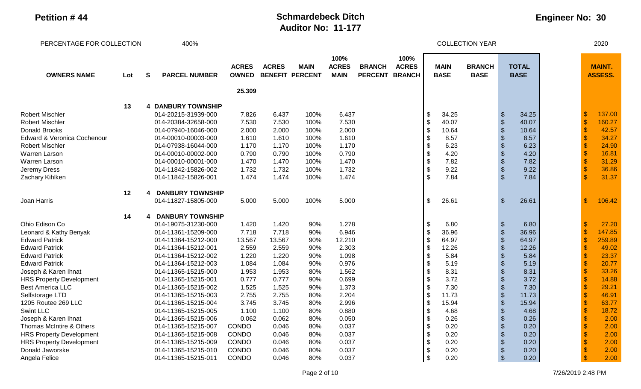| PERCENTAGE FOR COLLECTION       |     |              | 400%                      |                              |              |                                       |                                     |                                 |                                       |                            | <b>COLLECTION YEAR</b>       |                           |                             |                           | 2020                            |  |
|---------------------------------|-----|--------------|---------------------------|------------------------------|--------------|---------------------------------------|-------------------------------------|---------------------------------|---------------------------------------|----------------------------|------------------------------|---------------------------|-----------------------------|---------------------------|---------------------------------|--|
| <b>OWNERS NAME</b>              | Lot | $\mathbf{s}$ | <b>PARCEL NUMBER</b>      | <b>ACRES</b><br><b>OWNED</b> | <b>ACRES</b> | <b>MAIN</b><br><b>BENEFIT PERCENT</b> | 100%<br><b>ACRES</b><br><b>MAIN</b> | <b>BRANCH</b><br><b>PERCENT</b> | 100%<br><b>ACRES</b><br><b>BRANCH</b> | <b>MAIN</b><br><b>BASE</b> | <b>BRANCH</b><br><b>BASE</b> |                           | <b>TOTAL</b><br><b>BASE</b> |                           | <b>MAINT.</b><br><b>ASSESS.</b> |  |
|                                 |     |              |                           | 25.309                       |              |                                       |                                     |                                 |                                       |                            |                              |                           |                             |                           |                                 |  |
|                                 | 13  |              | <b>4 DANBURY TOWNSHIP</b> |                              |              |                                       |                                     |                                 |                                       |                            |                              |                           |                             |                           |                                 |  |
| <b>Robert Mischler</b>          |     |              | 014-20215-31939-000       | 7.826                        | 6.437        | 100%                                  | 6.437                               |                                 |                                       | \$<br>34.25                |                              | $\frac{3}{2}$             | 34.25                       | -\$                       | 137.00                          |  |
| <b>Robert Mischler</b>          |     |              | 014-20384-32658-000       | 7.530                        | 7.530        | 100%                                  | 7.530                               |                                 |                                       | \$<br>40.07                |                              | $\sqrt[6]{\frac{1}{2}}$   | 40.07                       | $\mathcal{S}$             | 160.27                          |  |
| Donald Brooks                   |     |              | 014-07940-16046-000       | 2.000                        | 2.000        | 100%                                  | 2.000                               |                                 |                                       | \$<br>10.64                |                              | $\frac{1}{2}$             | 10.64                       | $\mathcal{S}$             | 42.57                           |  |
| Edward & Veronica Cochenour     |     |              | 014-00010-00003-000       | 1.610                        | 1.610        | 100%                                  | 1.610                               |                                 |                                       | \$<br>8.57                 |                              | $\frac{1}{2}$             | 8.57                        | $\boldsymbol{\mathsf{s}}$ | 34.27                           |  |
| <b>Robert Mischler</b>          |     |              | 014-07938-16044-000       | 1.170                        | 1.170        | 100%                                  | 1.170                               |                                 |                                       | \$<br>6.23                 |                              | $\sqrt[6]{\frac{1}{2}}$   | 6.23                        |                           | 24.90                           |  |
| Warren Larson                   |     |              | 014-00010-00002-000       | 0.790                        | 0.790        | 100%                                  | 0.790                               |                                 |                                       | \$<br>4.20                 |                              | $\mathcal{S}$             | 4.20                        |                           | 16.81                           |  |
| Warren Larson                   |     |              | 014-00010-00001-000       | 1.470                        | 1.470        | 100%                                  | 1.470                               |                                 |                                       | \$<br>7.82                 |                              | $\mathcal{S}$             | 7.82                        |                           | 31.29                           |  |
| Jeremy Dress                    |     |              | 014-11842-15826-002       | 1.732                        | 1.732        | 100%                                  | 1.732                               |                                 |                                       | \$<br>9.22                 |                              | $\boldsymbol{\mathsf{S}}$ | 9.22                        |                           | 36.86                           |  |
| Zachary Kihlken                 |     |              | 014-11842-15826-001       | 1.474                        | 1.474        | 100%                                  | 1.474                               |                                 |                                       | \$<br>7.84                 |                              | $\mathfrak{S}$            | 7.84                        |                           | 31.37                           |  |
|                                 | 12  |              | <b>DANBURY TOWNSHIP</b>   |                              |              |                                       |                                     |                                 |                                       |                            |                              |                           |                             |                           |                                 |  |
| Joan Harris                     |     |              | 014-11827-15805-000       | 5.000                        | 5.000        | 100%                                  | 5.000                               |                                 |                                       | \$<br>26.61                |                              | $\mathfrak{S}$            | 26.61                       | $\mathfrak{F}$            | 106.42                          |  |
|                                 | 14  |              | <b>DANBURY TOWNSHIP</b>   |                              |              |                                       |                                     |                                 |                                       |                            |                              |                           |                             |                           |                                 |  |
| Ohio Edison Co                  |     |              | 014-19075-31230-000       | 1.420                        | 1.420        | 90%                                   | 1.278                               |                                 |                                       | \$<br>6.80                 |                              | $\frac{1}{2}$             | 6.80                        | - \$                      | 27.20                           |  |
| Leonard & Kathy Benyak          |     |              | 014-11361-15209-000       | 7.718                        | 7.718        | 90%                                   | 6.946                               |                                 |                                       | \$<br>36.96                |                              | $\boldsymbol{\theta}$     | 36.96                       | $\frac{1}{2}$             | 147.85                          |  |
| <b>Edward Patrick</b>           |     |              | 014-11364-15212-000       | 13.567                       | 13.567       | 90%                                   | 12.210                              |                                 |                                       | \$<br>64.97                |                              | $\boldsymbol{\theta}$     | 64.97                       | $\mathbf{\hat{s}}$        | 259.89                          |  |
| <b>Edward Patrick</b>           |     |              | 014-11364-15212-001       | 2.559                        | 2.559        | 90%                                   | 2.303                               |                                 |                                       | \$<br>12.26                |                              | $\mathfrak{S}$            | 12.26                       |                           | 49.02                           |  |
| <b>Edward Patrick</b>           |     |              | 014-11364-15212-002       | 1.220                        | 1.220        | 90%                                   | 1.098                               |                                 |                                       | \$<br>5.84                 |                              | $\mathcal{S}$             | 5.84                        |                           | 23.37                           |  |
| <b>Edward Patrick</b>           |     |              | 014-11364-15212-003       | 1.084                        | 1.084        | 90%                                   | 0.976                               |                                 |                                       | \$<br>5.19                 |                              |                           | 5.19                        |                           | 20.77                           |  |
| Joseph & Karen Ihnat            |     |              | 014-11365-15215-000       | 1.953                        | 1.953        | 80%                                   | 1.562                               |                                 |                                       | \$<br>8.31                 |                              | $\mathcal{S}$             | 8.31                        |                           | 33.26                           |  |
| <b>HRS Property Development</b> |     |              | 014-11365-15215-001       | 0.777                        | 0.777        | 90%                                   | 0.699                               |                                 |                                       | \$<br>3.72                 |                              |                           | 3.72                        |                           | 14.88                           |  |
| <b>Best America LLC</b>         |     |              | 014-11365-15215-002       | 1.525                        | 1.525        | 90%                                   | 1.373                               |                                 |                                       | \$<br>7.30                 |                              |                           | 7.30                        |                           | 29.21                           |  |
| Selfstorage LTD                 |     |              | 014-11365-15215-003       | 2.755                        | 2.755        | 80%                                   | 2.204                               |                                 |                                       | \$<br>11.73                |                              | $\mathcal{S}$             | 11.73                       |                           | 46.91                           |  |
| 1205 Routee 269 LLC             |     |              | 014-11365-15215-004       | 3.745                        | 3.745        | 80%                                   | 2.996                               |                                 |                                       | \$<br>15.94                |                              | $\mathcal{S}$             | 15.94                       | $\mathbf{\$}$             | 63.77                           |  |
| <b>Swint LLC</b>                |     |              | 014-11365-15215-005       | 1.100                        | 1.100        | 80%                                   | 0.880                               |                                 |                                       | \$<br>4.68                 |                              | \$                        | 4.68                        | $\mathbf{\hat{s}}$        | 18.72                           |  |
| Joseph & Karen Ihnat            |     |              | 014-11365-15215-006       | 0.062                        | 0.062        | 80%                                   | 0.050                               |                                 |                                       | \$<br>0.26                 |                              | $\mathcal{S}$             | 0.26                        |                           | 2.00                            |  |
| Thomas McIntire & Others        |     |              | 014-11365-15215-007       | <b>CONDO</b>                 | 0.046        | 80%                                   | 0.037                               |                                 |                                       | \$<br>0.20                 |                              | \$                        | 0.20                        |                           | 2.00                            |  |
| <b>HRS Property Development</b> |     |              | 014-11365-15215-008       | CONDO                        | 0.046        | 80%                                   | 0.037                               |                                 |                                       | \$<br>0.20                 |                              |                           | 0.20                        |                           | 2.00                            |  |
| <b>HRS Property Development</b> |     |              | 014-11365-15215-009       | <b>CONDO</b>                 | 0.046        | 80%                                   | 0.037                               |                                 |                                       | \$<br>0.20                 |                              |                           | 0.20                        |                           | 2.00                            |  |
| Donald Jaworske                 |     |              | 014-11365-15215-010       | <b>CONDO</b>                 | 0.046        | 80%                                   | 0.037                               |                                 |                                       | \$<br>0.20                 |                              | \$                        | 0.20                        |                           | 2.00                            |  |
| Angela Felice                   |     |              | 014-11365-15215-011       | <b>CONDO</b>                 | 0.046        | 80%                                   | 0.037                               |                                 |                                       | \$<br>0.20                 |                              | $\mathcal{S}$             | 0.20                        |                           | 2.00                            |  |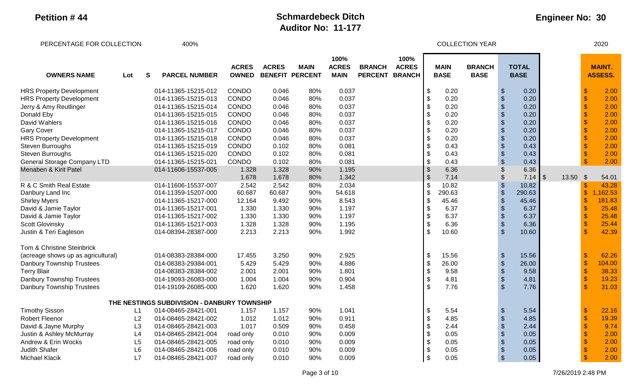# **Engineer No: 30**

PERCENTAGE FOR COLLECTION  $400\%$ 

| <b>OWNERS NAME</b>                 | Lot | S<br><b>PARCEL NUMBER</b>                   | <b>ACRES</b><br><b>OWNED</b> | <b>ACRES</b> | <b>MAIN</b><br><b>BENEFIT PERCENT</b> | 100%<br><b>ACRES</b><br><b>MAIN</b> | <b>BRANCH</b><br><b>PERCENT</b> | 100%<br><b>ACRES</b><br><b>BRANCH</b> |                           | <b>MAIN</b><br><b>BASE</b> | <b>BRANCH</b><br><b>BASE</b> |                           | <b>TOTAL</b><br><b>BASE</b> |                            |       |                           | <b>MAINT.</b><br><b>ASSESS.</b> |
|------------------------------------|-----|---------------------------------------------|------------------------------|--------------|---------------------------------------|-------------------------------------|---------------------------------|---------------------------------------|---------------------------|----------------------------|------------------------------|---------------------------|-----------------------------|----------------------------|-------|---------------------------|---------------------------------|
| <b>HRS Property Development</b>    |     | 014-11365-15215-012                         | CONDO                        | 0.046        | 80%                                   | 0.037                               |                                 |                                       | \$                        | 0.20                       |                              | $\sqrt[6]{\frac{1}{2}}$   | 0.20                        |                            |       | - \$                      | 2.00                            |
| <b>HRS Property Development</b>    |     | 014-11365-15215-013                         | CONDO                        | 0.046        | 80%                                   | 0.037                               |                                 |                                       | \$                        | 0.20                       |                              | $\boldsymbol{\mathsf{S}}$ | 0.20                        |                            |       | $\mathcal{S}$             | 2.00                            |
| Jerry & Amy Reutlinger             |     | 014-11365-15215-014                         | <b>CONDO</b>                 | 0.046        | 80%                                   | 0.037                               |                                 |                                       | \$                        | 0.20                       |                              | $\frac{1}{2}$             | 0.20                        |                            |       |                           | 2.00                            |
| Donald Eby                         |     | 014-11365-15215-015                         | <b>CONDO</b>                 | 0.046        | 80%                                   | 0.037                               |                                 |                                       | \$                        | 0.20                       |                              | $\frac{1}{2}$             | 0.20                        |                            |       | $\mathbf{\hat{s}}$        | 2.00                            |
| David Wahlers                      |     | 014-11365-15215-016                         | <b>CONDO</b>                 | 0.046        | 80%                                   | 0.037                               |                                 |                                       | \$                        | 0.20                       |                              | $\frac{1}{2}$             | 0.20                        |                            |       | $\mathbf{\$}$             | 2.00                            |
| <b>Gary Cover</b>                  |     | 014-11365-15215-017                         | <b>CONDO</b>                 | 0.046        | 80%                                   | 0.037                               |                                 |                                       | \$                        | 0.20                       |                              | $\frac{1}{2}$             | 0.20                        |                            |       | $\mathcal{S}$             | 2.00                            |
| <b>HRS Property Development</b>    |     | 014-11365-15215-018                         | CONDO                        | 0.046        | 80%                                   | 0.037                               |                                 |                                       | \$                        | 0.20                       |                              | $\boldsymbol{\theta}$     | 0.20                        |                            |       |                           | 2.00                            |
| Steven Burroughs                   |     | 014-11365-15215-019                         | CONDO                        | 0.102        | 80%                                   | 0.081                               |                                 |                                       | \$                        | 0.43                       |                              | $\sqrt[6]{\frac{1}{2}}$   | 0.43                        |                            |       |                           | 2.00                            |
| Steven Burroughs                   |     | 014-11365-15215-020                         | CONDO                        | 0.102        | 80%                                   | 0.081                               |                                 |                                       | \$                        | 0.43                       |                              | $\boldsymbol{\theta}$     | 0.43                        |                            |       |                           | 2.00                            |
| <b>General Storage Company LTD</b> |     | 014-11365-15215-021                         | <b>CONDO</b>                 | 0.102        | 80%                                   | 0.081                               |                                 |                                       | \$                        | 0.43                       |                              | $\mathcal{S}$             | 0.43                        |                            |       |                           | 2.00                            |
| Menaben & Kirit Patel              |     | 014-11606-15537-005                         | 1.328                        | 1.328        | 90%                                   | 1.195                               |                                 |                                       | $\boldsymbol{\mathsf{S}}$ | 6.36                       |                              | \$                        | 6.36                        |                            |       |                           |                                 |
|                                    |     |                                             | 1.678                        | 1.678        | 80%                                   | 1.342                               |                                 |                                       | \$                        | 7.14                       |                              |                           | 7.14                        | $\overline{\phantom{a}}$ s | 13.50 | $\boldsymbol{\mathsf{S}}$ | 54.01                           |
| R & C Smith Real Estate            |     | 014-11606-15537-007                         | 2.542                        | 2.542        | 80%                                   | 2.034                               |                                 |                                       | \$                        | 10.82                      |                              | $\frac{1}{2}$             | 10.82                       |                            |       | $\boldsymbol{\mathsf{s}}$ | 43.28                           |
| Danbury Land Inc                   |     | 014-11359-15207-000                         | 60.687                       | 60.687       | 90%                                   | 54.618                              |                                 |                                       | \$                        | 290.63                     |                              | $\$\$                     | 290.63                      |                            |       | $\boldsymbol{\mathsf{S}}$ | ,162.53                         |
| <b>Shirley Myers</b>               |     | 014-11365-15217-000                         | 12.164                       | 9.492        | 90%                                   | 8.543                               |                                 |                                       | \$                        | 45.46                      |                              | $\boldsymbol{\theta}$     | 45.46                       |                            |       | $\mathcal{S}$             | 181.83                          |
| David & Jamie Taylor               |     | 014-11365-15217-001                         | 1.330                        | 1.330        | 90%                                   | 1.197                               |                                 |                                       | \$                        | 6.37                       |                              | $\sqrt[6]{\frac{1}{2}}$   | 6.37                        |                            |       |                           | 25.48                           |
| David & Jamie Taylor               |     | 014-11365-15217-002                         | 1.330                        | 1.330        | 90%                                   | 1.197                               |                                 |                                       | \$                        | 6.37                       |                              | $\frac{1}{2}$             | 6.37                        |                            |       |                           | 25.48                           |
| <b>Scott Glovinsky</b>             |     | 014-11365-15217-003                         | 1.328                        | 1.328        | 90%                                   | 1.195                               |                                 |                                       | \$                        | 6.36                       |                              | $\boldsymbol{\theta}$     | 6.36                        |                            |       |                           | 25.44                           |
| Justin & Teri Eagleson             |     | 014-08394-28387-000                         | 2.213                        | 2.213        | 90%                                   | 1.992                               |                                 |                                       | \$                        | 10.60                      |                              | $\mathcal{S}$             | 10.60                       |                            |       |                           | 42.39                           |
| Tom & Christine Steinbrick         |     |                                             |                              |              |                                       |                                     |                                 |                                       |                           |                            |                              |                           |                             |                            |       |                           |                                 |
| (acreage shows up as agricultural) |     | 014-08383-28384-000                         | 17.455                       | 3.250        | 90%                                   | 2.925                               |                                 |                                       | \$                        | 15.56                      |                              | $\frac{1}{2}$             | 15.56                       |                            |       | S                         | 62.26                           |
| Danbury Township Trustees          |     | 014-08383-29384-001                         | 5.429                        | 5.429        | 90%                                   | 4.886                               |                                 |                                       | \$                        | 26.00                      |                              | $\boldsymbol{\theta}$     | 26.00                       |                            |       | $\frac{1}{2}$             | 104.00                          |
| <b>Terry Blair</b>                 |     | 014-08383-28384-002                         | 2.001                        | 2.001        | 90%                                   | 1.801                               |                                 |                                       | \$                        | 9.58                       |                              | $\sqrt[6]{\frac{1}{2}}$   | 9.58                        |                            |       | $\sqrt{3}$                | 38.33                           |
| Danbury Township Trustees          |     | 014-19093-26083-000                         | 1.004                        | 1.004        | 90%                                   | 0.904                               |                                 |                                       | \$                        | 4.81                       |                              | $\boldsymbol{\mathsf{S}}$ | 4.81                        |                            |       | $\boldsymbol{\mathsf{S}}$ | 19.23                           |
| Danbury Township Trustees          |     | 014-19109-26085-000                         | 1.620                        | 1.620        | 90%                                   | 1.458                               |                                 |                                       | \$                        | 7.76                       |                              | $\sqrt{2}$                | 7.76                        |                            |       | $\mathbf{\hat{S}}$        | 31.03                           |
|                                    |     | THE NESTINGS SUBDIVISION - DANBURY TOWNSHIP |                              |              |                                       |                                     |                                 |                                       |                           |                            |                              |                           |                             |                            |       |                           |                                 |
| <b>Timothy Sisson</b>              | L1  | 014-08465-28421-001                         | 1.157                        | 1.157        | 90%                                   | 1.041                               |                                 |                                       | \$                        | 5.54                       |                              | $\frac{1}{2}$             | 5.54                        |                            |       | \$                        | 22.16                           |
| <b>Robert Fleenor</b>              | L2  | 014-08465-28421-002                         | 1.012                        | 1.012        | 90%                                   | 0.911                               |                                 |                                       | \$                        | 4.85                       |                              | $\frac{1}{2}$             | 4.85                        |                            |       | $\mathcal{S}$             | 19.39                           |
| David & Jayne Murphy               | L3  | 014-08465-28421-003                         | 1.017                        | 0.509        | 90%                                   | 0.458                               |                                 |                                       | \$                        | 2.44                       |                              | $\frac{1}{2}$             | 2.44                        |                            |       | $\mathbf{\$}$             | 9.74                            |
| Justin & Ashley McMurray           | L4  | 014-08465-28421-004                         | road only                    | 0.010        | 90%                                   | 0.009                               |                                 |                                       | \$                        | 0.05                       |                              | $\boldsymbol{\mathsf{S}}$ | 0.05                        |                            |       | $\mathcal{S}$             | 2.00                            |
| Andrew & Erin Wocks                | L5  | 014-08465-28421-005                         | road only                    | 0.010        | 90%                                   | 0.009                               |                                 |                                       | \$                        | 0.05                       |                              | $\frac{1}{2}$             | 0.05                        |                            |       | $\mathcal{S}$             | 2.00                            |
| Judith Shafer                      | L6  | 014-08465-28421-006                         | road only                    | 0.010        | 90%                                   | 0.009                               |                                 |                                       | \$                        | 0.05                       |                              | $\boldsymbol{\mathsf{S}}$ | 0.05                        |                            |       |                           | 2.00                            |
| Michael Klacik                     | L7  | 014-08465-28421-007                         | road only                    | 0.010        | 90%                                   | 0.009                               |                                 |                                       | \$                        | 0.05                       |                              | $\mathcal{S}$             | 0.05                        |                            |       |                           | 2.00                            |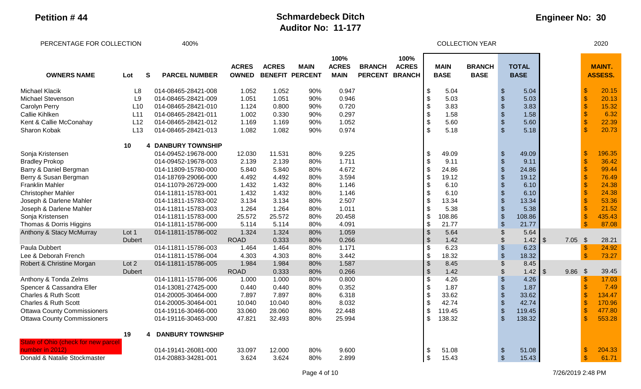| PERCENTAGE FOR COLLECTION           |                |   | 400%                    |                              |              |                                       |                                     |                                 |                                       |                           |                            | <b>COLLECTION YEAR</b>       |                                               |                             |                |           |               | 2020                            |
|-------------------------------------|----------------|---|-------------------------|------------------------------|--------------|---------------------------------------|-------------------------------------|---------------------------------|---------------------------------------|---------------------------|----------------------------|------------------------------|-----------------------------------------------|-----------------------------|----------------|-----------|---------------|---------------------------------|
| <b>OWNERS NAME</b>                  | Lot            | S | <b>PARCEL NUMBER</b>    | <b>ACRES</b><br><b>OWNED</b> | <b>ACRES</b> | <b>MAIN</b><br><b>BENEFIT PERCENT</b> | 100%<br><b>ACRES</b><br><b>MAIN</b> | <b>BRANCH</b><br><b>PERCENT</b> | 100%<br><b>ACRES</b><br><b>BRANCH</b> |                           | <b>MAIN</b><br><b>BASE</b> | <b>BRANCH</b><br><b>BASE</b> |                                               | <b>TOTAL</b><br><b>BASE</b> |                |           |               | <b>MAINT.</b><br><b>ASSESS.</b> |
| <b>Michael Klacik</b>               | L <sub>8</sub> |   | 014-08465-28421-008     | 1.052                        | 1.052        | 90%                                   | 0.947                               |                                 |                                       |                           | 5.04                       |                              | $\boldsymbol{\theta}$                         | 5.04                        |                |           |               | 20.15                           |
| <b>Michael Stevenson</b>            | L <sub>9</sub> |   | 014-08465-28421-009     | 1.051                        | 1.051        | 90%                                   | 0.946                               |                                 |                                       | \$                        | 5.03                       |                              | $\mathfrak{S}$                                | 5.03                        |                |           |               | 20.13                           |
| Carolyn Perry                       | L10            |   | 014-08465-28421-010     | 1.124                        | 0.800        | 90%                                   | 0.720                               |                                 |                                       | \$                        | 3.83                       |                              | $\boldsymbol{\$}$                             | 3.83                        |                |           |               | 15.32                           |
| Callie Kihlken                      | L11            |   | 014-08465-28421-011     | 1.002                        | 0.330        | 90%                                   | 0.297                               |                                 |                                       |                           | 1.58                       |                              | $\boldsymbol{\$}$                             | 1.58                        |                |           |               | 6.32                            |
| Kent & Callie McConahay             | L12            |   | 014-08465-28421-012     | 1.169                        | 1.169        | 90%                                   | 1.052                               |                                 |                                       |                           | 5.60                       |                              | $\frac{1}{2}$                                 | 5.60                        |                |           |               | 22.39                           |
| Sharon Kobak                        | L13            |   | 014-08465-28421-013     | 1.082                        | 1.082        | 90%                                   | 0.974                               |                                 |                                       |                           | 5.18                       |                              | $\mathfrak{S}$                                | 5.18                        |                |           |               | 20.73                           |
|                                     | 10             | 4 | <b>DANBURY TOWNSHIP</b> |                              |              |                                       |                                     |                                 |                                       |                           |                            |                              |                                               |                             |                |           |               |                                 |
| Sonja Kristensen                    |                |   | 014-09452-19678-000     | 12.030                       | 11.531       | 80%                                   | 9.225                               |                                 |                                       | \$                        | 49.09                      |                              | $\, \, \raisebox{12pt}{$\scriptstyle \circ$}$ | 49.09                       |                |           |               | 196.35                          |
| <b>Bradley Prokop</b>               |                |   | 014-09452-19678-003     | 2.139                        | 2.139        | 80%                                   | 1.711                               |                                 |                                       | \$                        | 9.11                       |                              | $\boldsymbol{\mathsf{\$}}$                    | 9.11                        |                |           |               | 36.42                           |
| Barry & Daniel Bergman              |                |   | 014-11809-15780-000     | 5.840                        | 5.840        | 80%                                   | 4.672                               |                                 |                                       | \$                        | 24.86                      |                              | $\boldsymbol{\mathsf{\$}}$                    | 24.86                       |                |           |               | 99.44                           |
| Berry & Susan Bergman               |                |   | 014-18769-29066-000     | 4.492                        | 4.492        | 80%                                   | 3.594                               |                                 |                                       | \$                        | 19.12                      |                              | $\boldsymbol{\$}$                             | 19.12                       |                |           |               | 76.49                           |
| <b>Franklin Mahler</b>              |                |   | 014-11079-26729-000     | 1.432                        | 1.432        | 80%                                   | 1.146                               |                                 |                                       | \$                        | 6.10                       |                              | $\boldsymbol{\theta}$                         | 6.10                        |                |           |               | 24.38                           |
| <b>Christopher Mahler</b>           |                |   | 014-11811-15783-001     | 1.432                        | 1.432        | 80%                                   | 1.146                               |                                 |                                       |                           | 6.10                       |                              | $\boldsymbol{\$}$                             | 6.10                        |                |           |               | 24.38                           |
| Joseph & Darlene Mahler             |                |   | 014-11811-15783-002     | 3.134                        | 3.134        | 80%                                   | 2.507                               |                                 |                                       |                           | 13.34                      |                              | \$                                            | 13.34                       |                |           |               | 53.36                           |
| Joseph & Darlene Mahler             |                |   | 014-11811-15783-003     | 1.264                        | 1.264        | 80%                                   | 1.011                               |                                 |                                       |                           | 5.38                       |                              | \$                                            | 5.38                        |                |           |               | 21.52                           |
| Sonja Kristensen                    |                |   | 014-11811-15783-000     | 25.572                       | 25.572       | 80%                                   | 20.458                              |                                 |                                       |                           | 108.86                     |                              | \$                                            | 108.86                      |                |           |               | 435.43                          |
| Thomas & Dorris Higgins             |                |   | 014-11811-15786-000     | 5.114                        | 5.114        | 80%                                   | 4.091                               |                                 |                                       | $\sqrt{3}$                | 21.77                      |                              | $\frac{1}{2}$                                 | 21.77                       |                |           |               | 87.08                           |
| Anthony & Stacy McMurray            | Lot 1          |   | 014-11811-15786-002     | 1.324                        | 1.324        | 80%                                   | 1.059                               |                                 |                                       | $\sqrt{3}$                | 5.64                       |                              | \$                                            | 5.64                        |                |           |               |                                 |
|                                     | <b>Dubert</b>  |   |                         | <b>ROAD</b>                  | 0.333        | 80%                                   | 0.266                               |                                 |                                       | $\mathcal{S}$             | 1.42                       |                              | \$                                            | 1.42                        | $\sqrt{3}$     | $7.05$ \$ |               | 28.21                           |
| Paula Dubbert                       |                |   | 014-11811-15786-003     | 1.464                        | 1.464        | 80%                                   | 1.171                               |                                 |                                       | \$                        | 6.23                       |                              | $\boldsymbol{\theta}$                         | 6.23                        |                |           | $\sqrt[6]{3}$ | 24.92                           |
| Lee & Deborah French                |                |   | 014-11811-15786-004     | 4.303                        | 4.303        | 80%                                   | 3.442                               |                                 |                                       | $\boldsymbol{\mathsf{S}}$ | 18.32                      |                              | \$                                            | 18.32                       |                |           | $\mathbf{\$}$ | 73.27                           |
| Robert & Christine Morgan           | Lot 2          |   | 014-11811-15786-005     | 1.984                        | 1.984        | 80%                                   | 1.587                               |                                 |                                       | $\sqrt{3}$                | 8.45                       |                              | $\boldsymbol{\mathsf{S}}$                     | 8.45                        |                |           |               |                                 |
|                                     | <b>Dubert</b>  |   |                         | <b>ROAD</b>                  | 0.333        | 80%                                   | 0.266                               |                                 |                                       | $\sqrt[6]{\frac{1}{2}}$   | 1.42                       |                              | \$                                            | 1.42                        | $\mathfrak{g}$ | 9.86      | $\sqrt{3}$    | 39.45                           |
| Anthony & Tonda Zelms               |                |   | 014-11811-15786-006     | 1.000                        | 1.000        | 80%                                   | 0.800                               |                                 |                                       |                           | 4.26                       |                              | \$                                            | 4.26                        |                |           | $\mathcal{S}$ | 17.03                           |
| Spencer & Cassandra Eller           |                |   | 014-13081-27425-000     | 0.440                        | 0.440        | 80%                                   | 0.352                               |                                 |                                       |                           | 1.87                       |                              | $\boldsymbol{\mathsf{S}}$                     | 1.87                        |                |           |               | 7.49                            |
| <b>Charles &amp; Ruth Scott</b>     |                |   | 014-20005-30464-000     | 7.897                        | 7.897        | 80%                                   | 6.318                               |                                 |                                       |                           | 33.62                      |                              | $\boldsymbol{\mathsf{\$}}$                    | 33.62                       |                |           |               | 134.47                          |
| <b>Charles &amp; Ruth Scott</b>     |                |   | 014-20005-30464-001     | 10.040                       | 10.040       | 80%                                   | 8.032                               |                                 |                                       | \$                        | 42.74                      |                              | $\boldsymbol{\theta}$                         | 42.74                       |                |           |               | 170.96                          |
| <b>Ottawa County Commissioners</b>  |                |   | 014-19116-30466-000     | 33.060                       | 28.060       | 80%                                   | 22.448                              |                                 |                                       | <b>\$</b>                 | 119.45                     |                              | $\boldsymbol{\theta}$                         | 119.45                      |                |           |               | 477.80                          |
| <b>Ottawa County Commissioners</b>  |                |   | 014-19116-30463-000     | 47.821                       | 32.493       | 80%                                   | 25.994                              |                                 |                                       |                           | 138.32                     |                              | $\mathfrak{S}$                                | 138.32                      |                |           |               | 553.28                          |
|                                     | 19             | 4 | <b>DANBURY TOWNSHIP</b> |                              |              |                                       |                                     |                                 |                                       |                           |                            |                              |                                               |                             |                |           |               |                                 |
| State of Ohio (check for new parcel |                |   |                         |                              |              |                                       |                                     |                                 |                                       |                           |                            |                              |                                               |                             |                |           |               |                                 |
| number in 2012)                     |                |   | 014-19141-26081-000     | 33.097                       | 12.000       | 80%                                   | 9.600                               |                                 |                                       |                           | 51.08                      |                              | $\boldsymbol{\theta}$                         | 51.08                       |                |           |               | 204.33                          |
| Donald & Natalie Stockmaster        |                |   | 014-20883-34281-001     | 3.624                        | 3.624        | 80%                                   | 2.899                               |                                 |                                       | \$                        | 15.43                      |                              | $\sqrt{2}$                                    | 15.43                       |                |           |               | 61.71                           |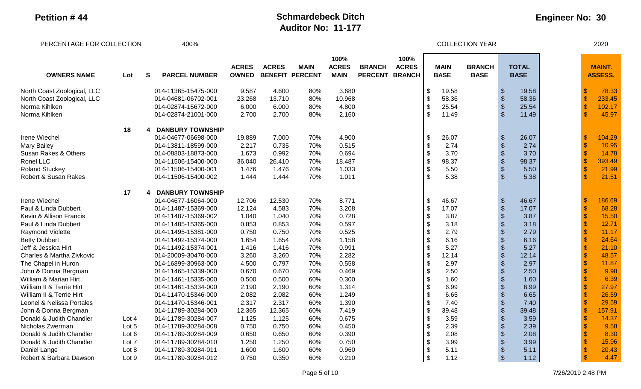| PERCENTAGE FOR COLLECTION   |       |   | 400%                    |                              |              |                                       |                                     |                                 |                      |                            |                            | <b>COLLECTION YEAR</b>       |                                           |                             |                    | 2020                            |
|-----------------------------|-------|---|-------------------------|------------------------------|--------------|---------------------------------------|-------------------------------------|---------------------------------|----------------------|----------------------------|----------------------------|------------------------------|-------------------------------------------|-----------------------------|--------------------|---------------------------------|
| <b>OWNERS NAME</b>          | Lot   | S | <b>PARCEL NUMBER</b>    | <b>ACRES</b><br><b>OWNED</b> | <b>ACRES</b> | <b>MAIN</b><br><b>BENEFIT PERCENT</b> | 100%<br><b>ACRES</b><br><b>MAIN</b> | <b>BRANCH</b><br>PERCENT BRANCH | 100%<br><b>ACRES</b> |                            | <b>MAIN</b><br><b>BASE</b> | <b>BRANCH</b><br><b>BASE</b> |                                           | <b>TOTAL</b><br><b>BASE</b> |                    | <b>MAINT.</b><br><b>ASSESS.</b> |
| North Coast Zoological, LLC |       |   | 014-11365-15475-000     | 9.587                        | 4.600        | 80%                                   | 3.680                               |                                 |                      | \$                         | 19.58                      |                              | $\frac{1}{2}$                             | 19.58                       | -S                 | 78.33                           |
| North Coast Zoological, LLC |       |   | 014-04681-06702-001     | 23.268                       | 13.710       | 80%                                   | 10.968                              |                                 |                      | $\frac{1}{2}$              | 58.36                      |                              | $\sqrt[6]{\frac{1}{2}}$                   | 58.36                       | $\sqrt[6]{3}$      | 233.45                          |
| Norma Kihlken               |       |   | 014-02874-15672-000     | 6.000                        | 6.000        | 80%                                   | 4.800                               |                                 |                      | $\sqrt[6]{\frac{1}{2}}$    | 25.54                      |                              | $\boldsymbol{\mathsf{S}}$                 | 25.54                       | $\sqrt[6]{3}$      | 102.17                          |
| Norma Kihlken               |       |   | 014-02874-21001-000     | 2.700                        | 2.700        | 80%                                   | 2.160                               |                                 |                      | \$                         | 11.49                      |                              | $\sqrt[6]{\frac{1}{2}}$                   | 11.49                       | $\mathbf{\hat{s}}$ | 45.97                           |
|                             | 18    | 4 | <b>DANBURY TOWNSHIP</b> |                              |              |                                       |                                     |                                 |                      |                            |                            |                              |                                           |                             |                    |                                 |
| Irene Wiechel               |       |   | 014-04677-06698-000     | 19.889                       | 7.000        | 70%                                   | 4.900                               |                                 |                      | \$                         | 26.07                      |                              | $\sqrt[6]{\frac{1}{2}}$                   | 26.07                       | -\$                | 104.29                          |
| <b>Mary Bailey</b>          |       |   | 014-13811-18599-000     | 2.217                        | 0.735        | 70%                                   | 0.515                               |                                 |                      | $\boldsymbol{\mathsf{\$}}$ | 2.74                       |                              | $$\mathfrak{F}$$                          | 2.74                        | $\sqrt{3}$         | 10.95                           |
| Susan Rakes & Others        |       |   | 014-08803-18873-000     | 1.673                        | 0.992        | 70%                                   | 0.694                               |                                 |                      | $\boldsymbol{\mathsf{S}}$  | 3.70                       |                              | \$                                        | 3.70                        | $\mathbf{\$}$      | 14.78                           |
| Ronel LLC                   |       |   | 014-11506-15400-000     | 36.040                       | 26.410       | 70%                                   | 18.487                              |                                 |                      | $\boldsymbol{\mathsf{\$}}$ | 98.37                      |                              | $\sqrt[6]{\frac{1}{2}}$                   | 98.37                       | $\sqrt{3}$         | 393.49                          |
| <b>Roland Stuckey</b>       |       |   | 014-11506-15400-001     | 1.476                        | 1.476        | 70%                                   | 1.033                               |                                 |                      | $\boldsymbol{\mathsf{S}}$  | 5.50                       |                              | $\boldsymbol{\mathsf{S}}$                 | 5.50                        | $\mathbf{\hat{s}}$ | 21.99                           |
| Robert & Susan Rakes        |       |   | 014-11506-15400-002     | 1.444                        | 1.444        | 70%                                   | 1.011                               |                                 |                      | \$                         | 5.38                       |                              | $\mathcal{S}$                             | 5.38                        | $\mathbf{R}$       | 21.51                           |
|                             | 17    | 4 | <b>DANBURY TOWNSHIP</b> |                              |              |                                       |                                     |                                 |                      |                            |                            |                              |                                           |                             |                    |                                 |
| Irene Wiechel               |       |   | 014-04677-16064-000     | 12.706                       | 12.530       | 70%                                   | 8.771                               |                                 |                      | \$                         | 46.67                      |                              | $\sqrt[6]{\frac{1}{2}}$                   | 46.67                       | $\sqrt[6]{3}$      | 186.69                          |
| Paul & Linda Dubbert        |       |   | 014-11487-15369-000     | 12.124                       | 4.583        | 70%                                   | 3.208                               |                                 |                      | $\boldsymbol{\mathsf{S}}$  | 17.07                      |                              | $$\mathfrak{F}$$                          | 17.07                       | $\sqrt{3}$         | 68.28                           |
| Kevin & Allison Francis     |       |   | 014-11487-15369-002     | 1.040                        | 1.040        | 70%                                   | 0.728                               |                                 |                      | $\sqrt[6]{3}$              | 3.87                       |                              | $\sqrt[6]{\frac{1}{2}}$                   | 3.87                        | $\mathbf{\hat{s}}$ | 15.50                           |
| Paul & Linda Dubbert        |       |   | 014-11485-15365-000     | 0.853                        | 0.853        | 70%                                   | 0.597                               |                                 |                      | $\boldsymbol{\mathsf{\$}}$ | 3.18                       |                              | $\frac{1}{2}$                             | 3.18                        | $\mathbf{\hat{s}}$ | 12.71                           |
| Raymond Violette            |       |   | 014-11495-15381-000     | 0.750                        | 0.750        | 70%                                   | 0.525                               |                                 |                      | \$                         | 2.79                       |                              | $\, \, \raisebox{12pt}{$\scriptstyle \$}$ | 2.79                        | $\sqrt{3}$         | 11.17                           |
| <b>Betty Dubbert</b>        |       |   | 014-11492-15374-000     | 1.654                        | 1.654        | 70%                                   | 1.158                               |                                 |                      | $\sqrt[6]{3}$              | 6.16                       |                              | $\sqrt[6]{\frac{1}{2}}$                   | 6.16                        | $\mathbf{\$}$      | 24.64                           |
| Jeff & Jessica Hirt         |       |   | 014-11492-15374-001     | 1.416                        | 1.416        | 70%                                   | 0.991                               |                                 |                      | $\boldsymbol{\mathsf{S}}$  | 5.27                       |                              | $\boldsymbol{\mathsf{S}}$                 | 5.27                        | $\mathbf{\$}$      | 21.10                           |
| Charles & Martha Zivkovic   |       |   | 014-20009-30470-000     | 3.260                        | 3.260        | 70%                                   | 2.282                               |                                 |                      | $\frac{1}{2}$              | 12.14                      |                              | $\boldsymbol{\mathsf{\$}}$                | 12.14                       | $\mathbf{\$}$      | 48.57                           |
| The Chapel in Huron         |       |   | 014-16899-30963-000     | 4.500                        | 0.797        | 70%                                   | 0.558                               |                                 |                      | $\frac{1}{2}$              | 2.97                       |                              | $\boldsymbol{\mathsf{S}}$                 | 2.97                        | $\mathbf{\$}$      | 11.87                           |
| John & Donna Bergman        |       |   | 014-11465-15339-000     | 0.670                        | 0.670        | 70%                                   | 0.469                               |                                 |                      | $\frac{1}{2}$              | 2.50                       |                              | $$\mathfrak{F}$$                          | 2.50                        | $\mathcal{S}$      | 9.98                            |
| William & Marian Hirt       |       |   | 014-11461-15335-000     | 0.500                        | 0.500        | 60%                                   | 0.300                               |                                 |                      | \$                         | 1.60                       |                              | \$                                        | 1.60                        |                    | 6.39                            |
| William II & Terrie Hirt    |       |   | 014-11461-15334-000     | 2.190                        | 2.190        | 60%                                   | 1.314                               |                                 |                      | $\mathfrak{F}$             | 6.99                       |                              | \$                                        | 6.99                        | $\mathcal{S}$      | 27.97                           |
| William II & Terrie Hirt    |       |   | 014-11470-15346-000     | 2.082                        | 2.082        | 60%                                   | 1.249                               |                                 |                      | $\boldsymbol{\mathsf{S}}$  | 6.65                       |                              | $\mathfrak{S}$                            | 6.65                        |                    | 26.59                           |
| Leonel & Nelissa Portales   |       |   | 014-11470-15346-001     | 2.317                        | 2.317        | 60%                                   | 1.390                               |                                 |                      | $\sqrt[6]{3}$              | 7.40                       |                              | $\sqrt[6]{\frac{1}{2}}$                   | 7.40                        | $\mathbf{\$}$      | 29.59                           |
| John & Donna Bergman        |       |   | 014-11789-30284-000     | 12.365                       | 12.365       | 60%                                   | 7.419                               |                                 |                      | $\boldsymbol{\mathsf{\$}}$ | 39.48                      |                              | $\frac{1}{2}$                             | 39.48                       | $\mathbf{\$}$      | 157.91                          |
| Donald & Judith Chandler    | Lot 4 |   | 014-11789-30284-007     | 1.125                        | 1.125        | 60%                                   | 0.675                               |                                 |                      | $\boldsymbol{\mathsf{\$}}$ | 3.59                       |                              | $$\mathfrak{F}$$                          | 3.59                        | $\sqrt{3}$         | 14.37                           |
| Nicholas Zwerman            | Lot 5 |   | 014-11789-30284-008     | 0.750                        | 0.750        | 60%                                   | 0.450                               |                                 |                      | $\boldsymbol{\mathsf{S}}$  | 2.39                       |                              | $\sqrt[6]{\frac{1}{2}}$                   | 2.39                        | $\mathcal{S}$      | 9.58                            |
| Donald & Judith Chandler    | Lot 6 |   | 014-11789-30284-009     | 0.650                        | 0.650        | 60%                                   | 0.390                               |                                 |                      | $\frac{1}{2}$              | 2.08                       |                              | $\mathfrak{S}$                            | 2.08                        | $\mathcal{S}$      | 8.30                            |
| Donald & Judith Chandler    | Lot 7 |   | 014-11789-30284-010     | 1.250                        | 1.250        | 60%                                   | 0.750                               |                                 |                      | $\boldsymbol{\mathsf{S}}$  | 3.99                       |                              | $\mathfrak{S}$                            | 3.99                        |                    | 15.96                           |
| Daniel Lange                | Lot 8 |   | 014-11789-30284-011     | 1.600                        | 1.600        | 60%                                   | 0.960                               |                                 |                      | $\boldsymbol{\mathsf{S}}$  | 5.11                       |                              | \$                                        | 5.11                        |                    | 20.43                           |
| Robert & Barbara Dawson     | Lot 9 |   | 014-11789-30284-012     | 0.750                        | 0.350        | 60%                                   | 0.210                               |                                 |                      | $\mathfrak{S}$             | 1.12                       |                              | $\mathcal{S}$                             | 1.12                        |                    | 4.47                            |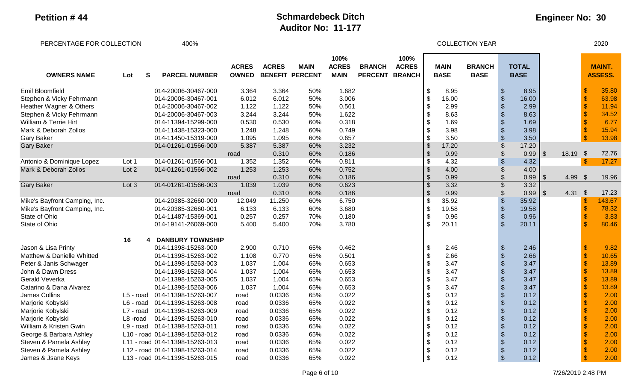#### **Engineer No: 30**

PERCENTAGE FOR COLLECTION 400% COLLECTION YEAR 2020 **OWNERS NAME S PARCEL NUMBER ACRES OWNED ACRES BENEFIT PERCENT MAIN 100% ACRES MAIN BRANCH PERCENT BRANCH 100% ACRES MAIN BASE BRANCH BASE TOTAL BASE MAINT.**  Lot S PARCEL NUMBER OWNED BENEFIT PERCENT MAIN PERCENT BRANCH┃ BASE BASE BASE <mark>ASSESS.</mark> Emil Bloomfield 014-20006-30467-000 3.364 50% 1.682 8 8.95 \$ 8.95 \$ 35.80 Stephen & Vicky Fehrmann 014-20006-30467-001 6.012 6.012 50% 3.006 \$ 16.00 \$ 16.00 \$ 63.98 Heather Wagner & Others **600 and 11.94** the control of 14-20006-30467-002 1.122 1.122 50% 0.561 **1.54** the control and the control of the control of the control of the control of the control of the control of the control o Stephen & Vicky Fehrmann 014-20006-30467-003 3.244 3.244 50% 1.622 \$ 8.63 \$ 8.63 \$ 34.52 William & Terrie Hirt 014-11394-15299-000 0.530 60% 0.318 \$ 1.69 \$ 6.77 Mark & Deborah Zollos 014-11438-15323-000 1.248 60% 0.749 \$ 3.98 \$ 15.94 Gary Baker 014-11450-15319-000 1.095 60% 0.657 \$ 13.98 Gary Baker 014-01261-01566-000 5.387 5.387 60% 3.232 \$ 17.20 \$ 17.20 road 0.310 60% 0.186 \$ 0.99 \$ 0.99 \$ 18.19 \$ 72.76 Antonio & Dominique Lopez Lot 1 014-01261-01566-001 1.352 1.352 60% 0.811 5 4.32 \$ 4.32 \$ 4.32 Mark & Deborah Zollos Lot 2 014-01261-01566-002 1.253 1.253 60% 0.752 \$ 4.00 \$ 4.00 road 0.310 60% 0.186 \$ 0.99 \$ 0.99 \$ 4.99 \$ 19.96 Gary Baker Lot 3 014-01261-01566-003 1.039 1.039 60% 0.623 \$ 3.32 \$ 3.32 road 0.310 60% 0.186 \$ 0.99 \$ 0.99 \$ 4.31 \$ 17.23 Mike's Bayfront Camping, Inc. 6. 143.67 12.049 12.049 12.049 11.250 60% 6.750 5 15.92 \$ 35.92 Mike's Bayfront Camping, Inc. 6. 1014-20385-32660-001 6.133 6.133 60% 3.680 8.680 5 19.58 \$ 19.58 \$ 78.32 State of Ohio 014-11487-15369-001 0.257 0.257 70% 0.180 \$ 0.96 \$ 0.96 \$ 3.83 State of Ohio 014-19141-26069-000 5.400 70% 3.780 \$ 20.11 <mark>\$ 80.46</mark> **16 4 DANBURY TOWNSHIP** Jason & Lisa Printy 014-11398-15263-000 2.900 0.710 65% 0.462 \$ 2.46 \$ 9.82 Matthew & Danielle Whitted 014-11398-15263-002 1.108 0.770 65% 0.501 5 2.66 \$ 2.66 \$ 2.66 \$ 10.65<br>Peter & Janis Schwager 014-11398-15263-003 1.037 1.004 65% 0.653 \$ 3.47 \$ 3.47 \$ 13.89 Peter & Janis Schwager 014-11398-15263-003 1.037 1.004 65% 0.653 \$ 3.47 \$ 13.89 John & Dawn Dress 014-11398-15263-004 1.037 1.004 65% 0.653 \$ 3.47 \$ 13.89 Gerald Veverka 014-11398-15263-005 1.037 1.004 65% 0.653 \$ 13.89 Catarino & Dana Alvarez 014-11398-15263-006 1.037 1.004 65% 0.653 \$ 13.89 James Collins L5 - road 014-11398-15263-007 road 0.0336 65% 0.022 \$ 2.00 Marjorie Kobylski L6 - road 014-11398-15263-008 road 0.0336 65% 0.022 \$ 2.00 Marjorie Kobylski L7 - road 014-11398-15263-009 road 0.0336 65% 0.022 \$ 2.00 Marjorie Kobylski L8 -road 014-11398-15263-010 road 0.0336 65% 0.022 \$ 2.00 William & Kristen Gwin L9 - road 014-11398-15263-011 road 0.0336 65% 0.022 \$ 0.12 \$ 2.00 George & Barbara Ashley L10 - road 014-11398-15263-012 road 0.0336 65% 0.022 S 0.12 \$ 0.12 \$ 0.12 Steven & Pamela Ashley L11 - road 014-11398-15263-013 road 0.0336 65% 0.022 <br>Steven & Pamela Ashley L12 - road 014-11398-15263-014 road 0.0336 65% 0.022 \$ 0.12 \$ 0.12 \$ 0.12 \$ 2.00

Steven & Pamela Ashley L12 - road 014-11398-15263-014 road 0.0336 65% 0.022 1 \$ 0.12 \$ 0.12 \$ 2.00 James & Jsane Keys L13 - road 014-11398-15263-015 road 0.0336 65% 0.022 **\$ 0.12** \$ 0.12 \$ 0.12 \$ 0.12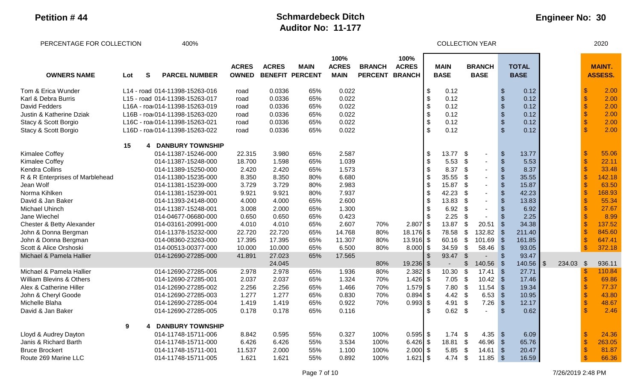#### **Engineer No: 30**

PERCENTAGE FOR COLLECTION 400% COLLECTION YEAR 2020 **OWNERS NAME S PARCEL NUMBER ACRES OWNED ACRES BENEFIT PERCENT MAIN 100% ACRES MAIN BRANCH PERCENT BRANCH 100% ACRES MAIN BASE BRANCH BASE TOTAL BASE MAINT.**  Lot S PARCEL NUMBER OWNED BENEFIT PERCENT MAIN PERCENT BRANCH┃ BASE BASE BASE <mark>ASSESS.</mark> Tom & Erica Wunder Carries L14 - road 014-11398-15263-016 road 0.0336 65% 0.022 March 1.5 0.12 \$ 0.12 S 0.12 \$ Karl & Debra Burris L15 - road 014-11398-15263-017 road 0.0336 65% 0.022 \$ 0.12 \$ 0.12 \$ 2.00 David Fedders L16A - road014-11398-15263-019 road 0.0336 65% 0.022 \$ 0.12 \$ 0.12 \$ 2.00 Justin & Katherine Dziak L16B - roa 014-11398-15263-020 road 0.0336 65% 0.022 1 \$ 0.12 \$ 0.12 \$ 0.12 \$ 2.00<br>Stacy & Scott Borgio 1980 C16C - roa 014-11398-15263-021 road 0.0336 65% 0.022 1 \$ 0.12 \$ 0.12 \$ 2.00 Stacy & Scott Borgio Carrier L16C - roa 014-11398-15263-021 road 0.0336 65% 0.022 **\$ 0.12 \$ 0.12 \$ 2.00** Stacy & Scott Borgio Canada C16D - roa 014-11398-15263-022 road 0.0336 65% 0.022 1 5 0.12 \$ 0.12 \$ 2.00 **15 4 DANBURY TOWNSHIP** Kimalee Coffey 014-11387-15246-000 22.315 3.980 65% 2.587 \$ 55.06 Kimalee Coffey 014-11387-15248-000 18.700 1.598 65% 1.039 5 5.53 \$ \$ 5.53 <mark>\$ 22.11</mark> Kendra Collins 014-11389-15250-000 2.420 65% 1.573 \$ 33.48 R & R Enterprises of Marblehead 014-11380-15235-000 8.350 8.350 80% 6.680 8.680 \$ 35.55 \$ - \$ 35.55 \$ 142.18 Jean Wolf 014-11381-15239-000 3.729 80% 2.983 \$ 15.87 \$ \$ 15.87 <mark>\$ 63.50</mark> Norma Kihlken 014-11381-15239-001 9.921 8096 7.937 \$ 42.23 \$ \$ 42.23 \$ 168.93 David & Jan Baker 014-11393-24148-000 4.000 65% 2.600 \$ 13.83 \$ \$ 13.83 ┃ <mark>\$ 55.34</mark> Michael Uhinch 014-11387-15248-001 3.008 2.000 65% 1.300 \$ 6.92 \$ - \$ 6.92 \$ 27.67 Jane Wiechel 014-04677-06680-000 0.650 65% 0.423 \$ 8.99 Chester & Betty Alexander 014-03161-20991-000 4.010 4.010 65% 2.607 70% 2.807 \$ 13.87 \$ 20.51 \$ 34.38 John & Donna Bergman 014-11378-15232-000 22.720 22.720 65% 14.768 80% 18.176 \$ 78.58 \$ 132.82 \$ 211.40 \$ 845.60 John & Donna Bergman 014-08360-23263-000 17.395 65% 11.307 80% 13.916┃\$ 60.16 \$ 101.69 \$ 161.85 ┃ <mark>\$ 647.41</mark> Scott & Alice Orshoski 014-00513-00377-000 10.000 60% 6.500 80% 8.000 | \$ 34.59 \$ 58.46 \$ 93.05 | <mark>\$ 372.18</mark> Michael & Pamela Hallier 014-12690-27285-000 41.891 27.023 65% 17.565 \$ 93.47 \$ - \$ 93.47 24.045 80% 19.236 \$ - \$ 140.56 \$ 140.56 \$ 234.03 \$ 936.11 Michael & Pamela Hallier 014-12690-27285-006 2.978 2.978 65% 1.936 80% 2.382 \$ 10.30 \$ 17.41 \$ 27.71 \$ 110.84 William Blevins & Others 014-12690-27285-001 2.037 65% 1.324 70% 1.426┃\$ 7.05 \$ 10.42 \$ 17.46┃ <mark>\$ 69.86</mark> Alex & Catherine Hiller 014-12690-27285-002 2.256 65% 1.466 70% 1.579 S 7.80 \$ 11.54 \$ 19.34 \$ 77.37 John & Cheryl Goode 014-12690-27285-003 1.277 1.277 65% 0.830 70% 0.894 \$ 4.42 \$ 6.53 \$ 10.95 \$ 43.80 Michelle Blaha 014-12690-27285-004 1.419 1.419 65% 0.922 70% 0.993 | \$ 4.91 \$ 7.26 \$ 12.17 | <mark>\$ 48.67</mark> David & Jan Baker 014-12690-27285-005 0.178 0.178 65% 0.116 \$ 0.62 \$ - \$ 0.62 \$ 2.46 **9 4 DANBURY TOWNSHIP** Lloyd & Audrey Dayton 014-11748-15711-006 8.842 0.595 55% 0.327 100% 0.595 \$ 1.74 \$ 4.35 \$ 6.09 \$ 24.36 Janis & Richard Barth 014-11748-15711-000 6.426 5.53% 3.534 100% 6.426 \$ 18.81 \$ 46.96 \$ 65.76 \$ 263.05 Bruce Brockert 014-11748-15711-001 11.537 2.000 55% 1.100 100% 2.000 | \$ 5.85 \$ 14.61 \$ 20.47 | <mark>\$ 81.87</mark> Route 269 Marine LLC 014-11748-15711-005 1.621 1.621 55% 0.892 100% 1.621 \$ 4.74 \$ 11.85 \$ 16.59 \$ 66.36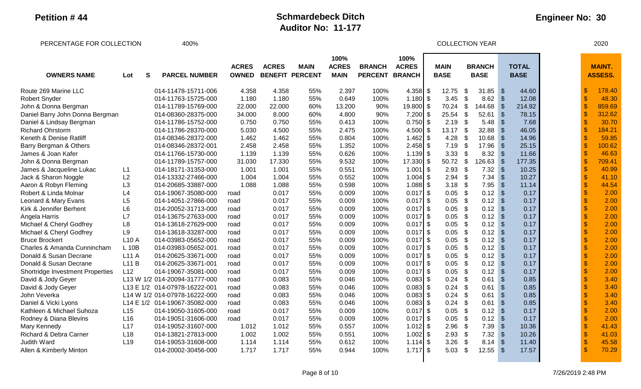PERCENTAGE FOR COLLECTION  $400\%$ 

| <b>OWNERS NAME</b>                      | Lot             | S | <b>PARCEL NUMBER</b>          | <b>ACRES</b><br><b>OWNED</b> | <b>ACRES</b> | <b>MAIN</b><br><b>BENEFIT PERCENT</b> | 100%<br><b>ACRES</b><br><b>MAIN</b> | <b>BRANCH</b><br><b>PERCENT</b> | 100%<br><b>ACRES</b><br><b>BRANCH</b> | <b>MAIN</b><br><b>BASE</b> |                            | <b>BRANCH</b><br><b>BASE</b> |               | <b>TOTAL</b><br><b>BASE</b> |               | <b>MAINT.</b><br><b>ASSESS.</b> |
|-----------------------------------------|-----------------|---|-------------------------------|------------------------------|--------------|---------------------------------------|-------------------------------------|---------------------------------|---------------------------------------|----------------------------|----------------------------|------------------------------|---------------|-----------------------------|---------------|---------------------------------|
| Route 269 Marine LLC                    |                 |   | 014-11478-15711-006           | 4.358                        | 4.358        | 55%                                   | 2.397                               | 100%                            | $4.358$ \$                            | 12.75                      | \$                         | 31.85                        | $\sqrt{3}$    | 44.60                       | S             | 178.40                          |
| <b>Robert Snyder</b>                    |                 |   | 014-11763-15725-000           | 1.180                        | 1.180        | 55%                                   | 0.649                               | 100%                            | 1.180                                 | \$<br>3.45                 | $\boldsymbol{\mathsf{S}}$  | 8.62                         | $\sqrt{3}$    | 12.08                       | $\mathcal{S}$ | 48.30                           |
| John & Donna Bergman                    |                 |   | 014-11789-15769-000           | 22.000                       | 22.000       | 60%                                   | 13.200                              | 90%                             | 19.800 \$                             | 70.24                      | $\boldsymbol{\mathsf{\$}}$ | 144.68                       | - \$          | 214.92                      | $\mathcal{S}$ | 859.69                          |
| Daniel Barry John Donna Bergman         |                 |   | 014-08360-28375-000           | 34.000                       | 8.000        | 60%                                   | 4.800                               | 90%                             | 7.200                                 | \$<br>25.54                | $\boldsymbol{\mathsf{S}}$  | 52.61                        | -\$           | 78.15                       | $\mathbf{\$}$ | 312.62                          |
| Daniel & Lindsay Bergman                |                 |   | 014-11786-15752-000           | 0.750                        | 0.750        | 55%                                   | 0.413                               | 100%                            | $0.750$ \$                            | 2.19                       | \$                         | 5.48                         | - \$          | 7.68                        |               | 30.70                           |
| <b>Richard Ohrstorm</b>                 |                 |   | 014-11786-28370-000           | 5.030                        | 4.500        | 55%                                   | 2.475                               | 100%                            | $4.500$ \$                            | 13.17                      | $\boldsymbol{\mathsf{S}}$  | 32.88                        | - \$          | 46.05                       | $\mathcal{S}$ | 184.21                          |
| Keneth & Denise Ratliff                 |                 |   | 014-08346-28372-000           | 1.462                        | 1.462        | 55%                                   | 0.804                               | 100%                            | $1.462$ \$                            | 4.28                       | $\boldsymbol{\mathsf{\$}}$ | 10.68                        | -\$           | 14.96                       |               | 59.85                           |
| Barry Bergman & Others                  |                 |   | 014-08346-28372-001           | 2.458                        | 2.458        | 55%                                   | 1.352                               | 100%                            | $2.458$ \$                            | 7.19                       | \$                         | 17.96                        | -\$           | 25.15                       |               | 100.62                          |
| James & Joan Kafer                      |                 |   | 014-11766-15730-000           | 1.139                        | 1.139        | 55%                                   | 0.626                               | 100%                            | $1.139$ \$                            | 3.33                       | $\boldsymbol{\mathsf{S}}$  | 8.32                         | -\$           | 11.66                       |               | 46.63                           |
| John & Donna Bergman                    |                 |   | 014-11789-15757-000           | 31.030                       | 17.330       | 55%                                   | 9.532                               | 100%                            | 17.330                                | \$<br>50.72                | $\sqrt{3}$                 | 126.63                       | -\$           | 177.35                      |               | 709.41                          |
| James & Jacqueline Lukac                | L1              |   | 014-18171-31353-000           | 1.001                        | 1.001        | 55%                                   | 0.551                               | 100%                            | 1.001                                 | \$<br>2.93                 | \$                         | 7.32                         | -\$           | 10.25                       | $\mathbf{\$}$ | 40.99                           |
| Jack & Sharon Noggle                    | L2              |   | 014-13332-27466-000           | 1.004                        | 1.004        | 55%                                   | 0.552                               | 100%                            | 1.004                                 | \$<br>2.94                 | -\$                        | 7.34                         | -\$           | 10.27                       | $\mathbf{\$}$ | 41.10                           |
| Aaron & Robyn Fleming                   | L3              |   | 014-20685-33887-000           | 1.088                        | 1.088        | 55%                                   | 0.598                               | 100%                            | $1.088$ \$                            | 3.18                       | \$                         | 7.95                         | -\$           | 11.14                       | $\mathcal{S}$ | 44.54                           |
| Robert & Linda Molnar                   | L4              |   | 014-19067-35080-000           | road                         | 0.017        | 55%                                   | 0.009                               | 100%                            | $0.017$ \$                            | 0.05                       | $\boldsymbol{\mathsf{S}}$  | 0.12                         | -\$           | 0.17                        | $\mathcal{S}$ | 2.00                            |
| Leonard & Mary Evans                    | L5              |   | 014-14051-27866-000           | road                         | 0.017        | 55%                                   | 0.009                               | 100%                            | $0.017$ \$                            | 0.05                       | $\boldsymbol{\mathsf{\$}}$ | 0.12                         | -\$           | 0.17                        | $\mathcal{S}$ | 2.00                            |
| Kirk & Jennifer Berhent                 | L6              |   | 014-20052-31713-000           | road                         | 0.017        | 55%                                   | 0.009                               | 100%                            | $0.017$ \$                            | 0.05                       | $\boldsymbol{\mathsf{S}}$  | 0.12                         | \$            | 0.17                        | $\mathsf{\$}$ | 2.00                            |
| Angela Harris                           | L7              |   | 014-13675-27633-000           | road                         | 0.017        | 55%                                   | 0.009                               | 100%                            | $0.017$ \$                            | 0.05                       | $\boldsymbol{\mathsf{S}}$  | 0.12                         | $\sqrt{3}$    | 0.17                        | $\mathsf{\$}$ | 2.00                            |
| Michael & Cheryl Godfrey                | L8              |   | 014-13618-27629-000           | road                         | 0.017        | 55%                                   | 0.009                               | 100%                            | $0.017$ \$                            | 0.05                       | $\mathfrak{S}$             | 0.12                         | -\$           | 0.17                        |               | 2.00                            |
| Michael & Cheryl Godfrey                | L9              |   | 014-13618-33287-000           | road                         | 0.017        | 55%                                   | 0.009                               | 100%                            | $0.017$ \$                            | 0.05                       | $\boldsymbol{\mathsf{S}}$  | 0.12                         | $\sqrt{3}$    | 0.17                        |               | 2.00                            |
| <b>Bruce Brockert</b>                   | <b>L10 A</b>    |   | 014-03983-05652-000           | road                         | 0.017        | 55%                                   | 0.009                               | 100%                            | $0.017$ \$                            | 0.05                       | $\boldsymbol{\mathsf{S}}$  | 0.12                         | -\$           | 0.17                        |               | 2.00                            |
| <b>Charles &amp; Amanda Cunnincham</b>  | L 10B           |   | 014-03983-05652-001           | road                         | 0.017        | 55%                                   | 0.009                               | 100%                            | $0.017$ \$                            | 0.05                       | \$                         | 0.12                         | \$            | 0.17                        |               | 2.00                            |
| Donald & Susan Decrane                  | L11A            |   | 014-20625-33671-000           | road                         | 0.017        | 55%                                   | 0.009                               | 100%                            | $0.017$ \$                            | 0.05                       | \$                         | 0.12                         | -\$           | 0.17                        |               | 2.00                            |
| Donald & Susan Decrane                  | L11B            |   | 014-20625-33671-001           | road                         | 0.017        | 55%                                   | 0.009                               | 100%                            | $0.017$ \$                            | 0.05                       | \$                         | 0.12                         | -\$           | 0.17                        |               | 2.00                            |
| <b>Shortridge Investment Properties</b> | L12             |   | 014-19067-35081-000           | road                         | 0.017        | 55%                                   | 0.009                               | 100%                            | $0.017$ \$                            | 0.05                       | $\boldsymbol{\mathsf{S}}$  | 0.12                         | -\$           | 0.17                        |               | 2.00                            |
| David & Jody Geyer                      |                 |   | L13 W 1/2 014-20094-31777-000 | road                         | 0.083        | 55%                                   | 0.046                               | 100%                            | $0.083$ \$                            | 0.24                       | -\$                        | 0.61                         | \$            | 0.85                        |               | 3.40                            |
| David & Jody Geyer                      |                 |   | L13 E 1/2 014-07978-16222-001 | road                         | 0.083        | 55%                                   | 0.046                               | 100%                            | $0.083$ \$                            | 0.24                       | -\$                        | 0.61                         | $\mathcal{S}$ | 0.85                        |               | 3.40                            |
| John Veverka                            |                 |   | L14 W 1/2 014-07978-16222-000 | road                         | 0.083        | 55%                                   | 0.046                               | 100%                            | $0.083$ \$                            | 0.24                       | \$                         | 0.61                         | $\mathcal{S}$ | 0.85                        |               | 3.40                            |
| Daniel & Vicki Lyons                    |                 |   | L14 E 1/2 014-19067-35082-000 | road                         | 0.083        | 55%                                   | 0.046                               | 100%                            | 0.083                                 | \$<br>0.24                 | $\boldsymbol{\mathsf{S}}$  | 0.61                         | $\mathcal{S}$ | 0.85                        |               | 3.40                            |
| Kathleen & Michael Suhoza               | L15             |   | 014-19050-31605-000           | road                         | 0.017        | 55%                                   | 0.009                               | 100%                            | 0.017                                 | \$<br>0.05                 | $\boldsymbol{\mathsf{S}}$  | 0.12                         | ß.            | 0.17                        |               | 2.00                            |
| Rodney & Diana Blevins                  | L <sub>16</sub> |   | 014-19051-31606-000           | road                         | 0.017        | 55%                                   | 0.009                               | 100%                            | $0.017$ \$                            | 0.05                       | $\boldsymbol{\mathsf{S}}$  | 0.12                         | $\mathbf{f}$  | 0.17                        |               | 2.00                            |
| Mary Kennedy                            | L17             |   | 014-19052-31607-000           | 1.012                        | 1.012        | 55%                                   | 0.557                               | 100%                            | $1.012$ \$                            | 2.96                       | $\boldsymbol{\mathsf{s}}$  | 7.39                         | $\mathcal{S}$ | 10.36                       | $\mathcal{S}$ | 41.43                           |
| Richard & Debra Carner                  | L <sub>18</sub> |   | 014-13821-27813-000           | 1.002                        | 1.002        | 55%                                   | 0.551                               | 100%                            | $1.002$ \$                            | 2.93                       | $\boldsymbol{\mathsf{S}}$  | 7.32                         | -\$           | 10.26                       | $\mathbf{\$}$ | 41.03                           |
| <b>Judith Ward</b>                      | L <sub>19</sub> |   | 014-19053-31608-000           | 1.114                        | 1.114        | 55%                                   | 0.612                               | 100%                            | $1.114$ \$                            | 3.26                       | $\mathfrak{S}$             | 8.14                         | -\$           | 11.40                       | $\mathcal{S}$ | 45.58                           |
| Allen & Kimberly Minton                 |                 |   | 014-20002-30456-000           | 1.717                        | 1.717        | 55%                                   | 0.944                               | 100%                            | $1.717$ \$                            | 5.03                       | \$                         | 12.55                        | -\$           | 17.57                       |               | 70.29                           |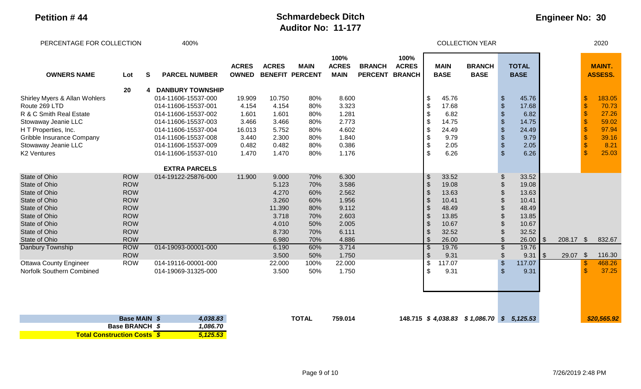**Total Construction Costs** *\$ 5,125.53*

### **Petition # 44 Schmardebeck Ditch Auditor No: 11-177**

| PERCENTAGE FOR COLLECTION                                       |                          |    | 400%                                                              |                              |                         |                                       |                                     |                                 |                      |                                                               |                            | <b>COLLECTION YEAR</b>                   |                                                 |                             |               |           |                                              | 2020                            |
|-----------------------------------------------------------------|--------------------------|----|-------------------------------------------------------------------|------------------------------|-------------------------|---------------------------------------|-------------------------------------|---------------------------------|----------------------|---------------------------------------------------------------|----------------------------|------------------------------------------|-------------------------------------------------|-----------------------------|---------------|-----------|----------------------------------------------|---------------------------------|
| <b>OWNERS NAME</b>                                              | Lot                      | S. | <b>PARCEL NUMBER</b>                                              | <b>ACRES</b><br><b>OWNED</b> | <b>ACRES</b>            | <b>MAIN</b><br><b>BENEFIT PERCENT</b> | 100%<br><b>ACRES</b><br><b>MAIN</b> | <b>BRANCH</b><br>PERCENT BRANCH | 100%<br><b>ACRES</b> |                                                               | <b>MAIN</b><br><b>BASE</b> | <b>BRANCH</b><br><b>BASE</b>             |                                                 | <b>TOTAL</b><br><b>BASE</b> |               |           |                                              | <b>MAINT.</b><br><b>ASSESS.</b> |
| Shirley Myers & Allan Wohlers                                   | 20                       |    | <b>DANBURY TOWNSHIP</b><br>014-11606-15537-000                    | 19.909                       | 10.750                  | 80%                                   | 8.600                               |                                 |                      | \$                                                            | 45.76                      |                                          | \$                                              | 45.76                       |               |           | $\mathcal{S}$                                | 183.05                          |
| Route 269 LTD<br>R & C Smith Real Estate<br>Stowaway Jeanie LLC |                          |    | 014-11606-15537-001<br>014-11606-15537-002<br>014-11606-15537-003 | 4.154<br>1.601<br>3.466      | 4.154<br>1.601<br>3.466 | 80%<br>80%<br>80%                     | 3.323<br>1.281<br>2.773             |                                 |                      | \$<br>$\boldsymbol{\mathsf{S}}$<br>$\boldsymbol{\mathsf{\$}}$ | 17.68<br>6.82<br>14.75     |                                          | $\frac{1}{2}$<br>$\frac{1}{2}$<br>$\frac{1}{2}$ | 17.68<br>6.82<br>14.75      |               |           | $\mathbf{\$}$<br>$\sqrt{3}$<br>$\mathsf{\$}$ | 70.73<br>27.26<br>59.02         |
| H T Properties, Inc.<br>Gribble Insurance Company               |                          |    | 014-11606-15537-004<br>014-11606-15537-008                        | 16.013<br>3.440              | 5.752<br>2.300          | 80%<br>80%                            | 4.602<br>1.840                      |                                 |                      | $\boldsymbol{\mathsf{\$}}$<br>$\boldsymbol{\theta}$           | 24.49<br>9.79              |                                          | $\frac{1}{2}$<br>$\boldsymbol{\theta}$          | 24.49<br>9.79               |               |           | $\mathbf{\$}$<br>$\sqrt{2}$                  | 97.94<br>39.16                  |
| Stowaway Jeanie LLC<br><b>K2 Ventures</b>                       |                          |    | 014-11606-15537-009<br>014-11606-15537-010                        | 0.482<br>1.470               | 0.482<br>1.470          | 80%<br>80%                            | 0.386<br>1.176                      |                                 |                      | $\boldsymbol{\mathsf{\$}}$<br>$\mathfrak{s}$                  | 2.05<br>6.26               |                                          | $\boldsymbol{\mathsf{S}}$<br>$\mathfrak{S}$     | 2.05<br>6.26                |               |           | $\mathbf{\$}$<br>$\mathcal{S}$               | 8.21<br>25.03                   |
|                                                                 |                          |    | <b>EXTRA PARCELS</b>                                              |                              |                         |                                       |                                     |                                 |                      |                                                               |                            |                                          |                                                 |                             |               |           |                                              |                                 |
| <b>State of Ohio</b><br><b>State of Ohio</b>                    | <b>ROW</b><br><b>ROW</b> |    | 014-19122-25876-000                                               | 11.900                       | 9.000<br>5.123          | 70%<br>70%                            | 6.300<br>3.586                      |                                 |                      | $\sqrt{3}$<br>$\sqrt{3}$                                      | 33.52<br>19.08             |                                          | \$<br>$\mathcal{S}$                             | 33.52<br>19.08              |               |           |                                              |                                 |
| State of Ohio<br>State of Ohio                                  | <b>ROW</b><br><b>ROW</b> |    |                                                                   |                              | 4.270<br>3.260          | 60%<br>60%                            | 2.562<br>1.956                      |                                 |                      | $\sqrt{3}$<br>$\sqrt[6]{3}$                                   | 13.63<br>10.41             |                                          | $\mathcal{S}$<br>$\mathcal{S}$                  | 13.63<br>10.41              |               |           |                                              |                                 |
| <b>State of Ohio</b>                                            | <b>ROW</b>               |    |                                                                   |                              | 11.390                  | 80%                                   | 9.112                               |                                 |                      | $\sqrt[6]{3}$                                                 | 48.49                      |                                          |                                                 | 48.49                       |               |           |                                              |                                 |
| <b>State of Ohio</b><br><b>State of Ohio</b>                    | <b>ROW</b><br><b>ROW</b> |    |                                                                   |                              | 3.718<br>4.010          | 70%<br>50%                            | 2.603<br>2.005                      |                                 |                      | $\sqrt[6]{3}$<br>$\sqrt[6]{3}$                                | 13.85<br>10.67             |                                          | \$                                              | 13.85<br>10.67              |               |           |                                              |                                 |
| <b>State of Ohio</b><br>State of Ohio                           | <b>ROW</b><br><b>ROW</b> |    |                                                                   |                              | 8.730<br>6.980          | 70%<br>70%                            | 6.111<br>4.886                      |                                 |                      | $\sqrt{2}$<br>$\sqrt[6]{\frac{1}{2}}$                         | 32.52<br>26.00             |                                          | $\mathfrak{L}$                                  | 32.52<br>26.00              | $\sqrt[6]{3}$ | 208.17 \$ |                                              | 832.67                          |
| Danbury Township                                                | <b>ROW</b>               |    | 014-19093-00001-000                                               |                              | 6.190                   | 60%                                   | 3.714                               |                                 |                      | $\boldsymbol{\mathsf{S}}$                                     | 19.76                      |                                          |                                                 | 19.76                       |               |           |                                              |                                 |
| <b>Ottawa County Engineer</b>                                   | <b>ROW</b><br><b>ROW</b> |    | 014-19116-00001-000                                               |                              | 3.500<br>22.000         | 50%<br>100%                           | 1.750<br>22.000                     |                                 |                      | $\boldsymbol{\mathsf{S}}$<br>$\boldsymbol{\theta}$            | 9.31<br>117.07             |                                          | \$<br>$\mathcal{S}$                             | 9.31<br>117.07              | $\sqrt[6]{3}$ | 29.07     | $\sqrt[6]{3}$<br>$\sqrt[6]{3}$               | 116.30<br>468.26                |
| Norfolk Southern Combined                                       |                          |    | 014-19069-31325-000                                               |                              | 3.500                   | 50%                                   | 1.750                               |                                 |                      | $\boldsymbol{\mathsf{S}}$                                     | 9.31                       |                                          | $\mathcal{S}$                                   | 9.31                        |               |           | $\mathbf{\hat{s}}$                           | 37.25                           |
|                                                                 |                          |    |                                                                   |                              |                         |                                       |                                     |                                 |                      |                                                               |                            |                                          |                                                 |                             |               |           |                                              |                                 |
|                                                                 | Base MAIN \$             |    | 4,038.83                                                          |                              |                         | <b>TOTAL</b>                          | 759.014                             |                                 |                      |                                                               |                            | 148.715 \$4,038.83 \$1,086.70 \$5,125.53 |                                                 |                             |               |           |                                              | \$20,565.92                     |
|                                                                 | <b>Base BRANCH \$</b>    |    | 1,086.70                                                          |                              |                         |                                       |                                     |                                 |                      |                                                               |                            |                                          |                                                 |                             |               |           |                                              |                                 |